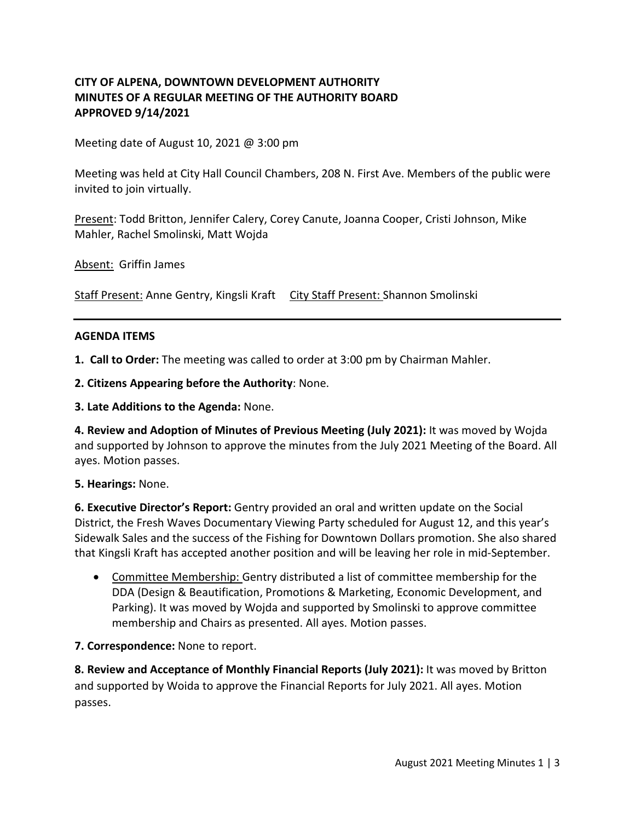## **CITY OF ALPENA, DOWNTOWN DEVELOPMENT AUTHORITY MINUTES OF A REGULAR MEETING OF THE AUTHORITY BOARD APPROVED 9/14/2021**

Meeting date of August 10, 2021 @ 3:00 pm

Meeting was held at City Hall Council Chambers, 208 N. First Ave. Members of the public were invited to join virtually.

Present: Todd Britton, Jennifer Calery, Corey Canute, Joanna Cooper, Cristi Johnson, Mike Mahler, Rachel Smolinski, Matt Wojda

Absent: Griffin James

Staff Present: Anne Gentry, Kingsli Kraft City Staff Present: Shannon Smolinski

#### **AGENDA ITEMS**

**1. Call to Order:** The meeting was called to order at 3:00 pm by Chairman Mahler.

**2. Citizens Appearing before the Authority**: None.

**3. Late Additions to the Agenda:** None.

**4. Review and Adoption of Minutes of Previous Meeting (July 2021):** It was moved by Wojda and supported by Johnson to approve the minutes from the July 2021 Meeting of the Board. All ayes. Motion passes.

**5. Hearings:** None.

**6. Executive Director's Report:** Gentry provided an oral and written update on the Social District, the Fresh Waves Documentary Viewing Party scheduled for August 12, and this year's Sidewalk Sales and the success of the Fishing for Downtown Dollars promotion. She also shared that Kingsli Kraft has accepted another position and will be leaving her role in mid-September.

• Committee Membership: Gentry distributed a list of committee membership for the DDA (Design & Beautification, Promotions & Marketing, Economic Development, and Parking). It was moved by Wojda and supported by Smolinski to approve committee membership and Chairs as presented. All ayes. Motion passes.

#### **7. Correspondence:** None to report.

**8. Review and Acceptance of Monthly Financial Reports (July 2021):** It was moved by Britton and supported by Woida to approve the Financial Reports for July 2021. All ayes. Motion passes.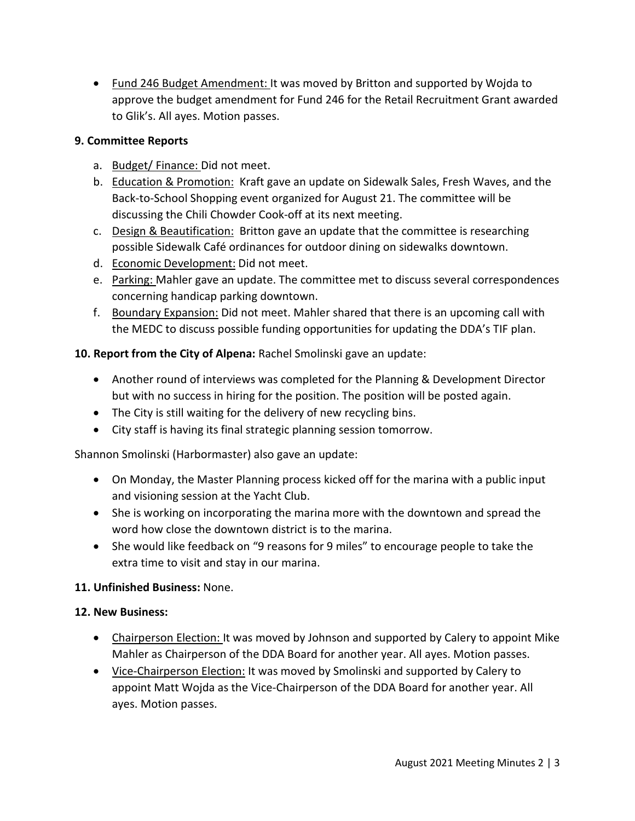• Fund 246 Budget Amendment: It was moved by Britton and supported by Wojda to approve the budget amendment for Fund 246 for the Retail Recruitment Grant awarded to Glik's. All ayes. Motion passes.

## **9. Committee Reports**

- a. Budget/ Finance: Did not meet.
- b. Education & Promotion: Kraft gave an update on Sidewalk Sales, Fresh Waves, and the Back-to-School Shopping event organized for August 21. The committee will be discussing the Chili Chowder Cook-off at its next meeting.
- c. Design & Beautification: Britton gave an update that the committee is researching possible Sidewalk Café ordinances for outdoor dining on sidewalks downtown.
- d. Economic Development: Did not meet.
- e. Parking: Mahler gave an update. The committee met to discuss several correspondences concerning handicap parking downtown.
- f. Boundary Expansion: Did not meet. Mahler shared that there is an upcoming call with the MEDC to discuss possible funding opportunities for updating the DDA's TIF plan.

# **10. Report from the City of Alpena:** Rachel Smolinski gave an update:

- Another round of interviews was completed for the Planning & Development Director but with no success in hiring for the position. The position will be posted again.
- The City is still waiting for the delivery of new recycling bins.
- City staff is having its final strategic planning session tomorrow.

Shannon Smolinski (Harbormaster) also gave an update:

- On Monday, the Master Planning process kicked off for the marina with a public input and visioning session at the Yacht Club.
- She is working on incorporating the marina more with the downtown and spread the word how close the downtown district is to the marina.
- She would like feedback on "9 reasons for 9 miles" to encourage people to take the extra time to visit and stay in our marina.

# **11. Unfinished Business:** None.

# **12. New Business:**

- Chairperson Election: It was moved by Johnson and supported by Calery to appoint Mike Mahler as Chairperson of the DDA Board for another year. All ayes. Motion passes.
- Vice-Chairperson Election: It was moved by Smolinski and supported by Calery to appoint Matt Wojda as the Vice-Chairperson of the DDA Board for another year. All ayes. Motion passes.